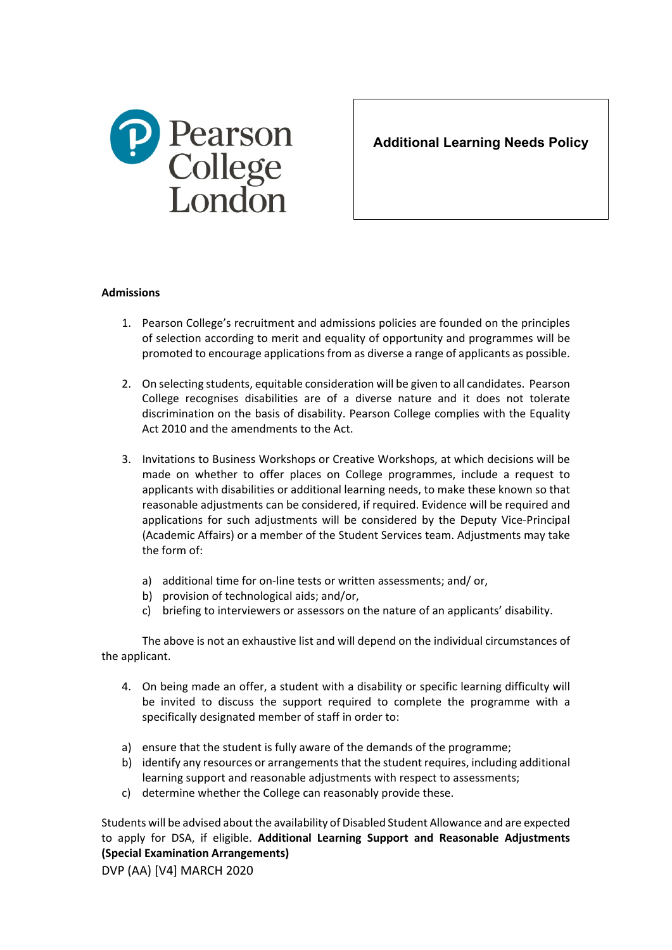

**Additional Learning Needs Policy**

## **Admissions**

- 1. Pearson College's recruitment and admissions policies are founded on the principles of selection according to merit and equality of opportunity and programmes will be promoted to encourage applications from as diverse a range of applicants as possible.
- 2. On selecting students, equitable consideration will be given to all candidates. Pearson College recognises disabilities are of a diverse nature and it does not tolerate discrimination on the basis of disability. Pearson College complies with the Equality Act 2010 and the amendments to the Act.
- 3. Invitations to Business Workshops or Creative Workshops, at which decisions will be made on whether to offer places on College programmes, include a request to applicants with disabilities or additional learning needs, to make these known so that reasonable adjustments can be considered, if required. Evidence will be required and applications for such adjustments will be considered by the Deputy Vice-Principal (Academic Affairs) or a member of the Student Services team. Adjustments may take the form of:
	- a) additional time for on-line tests or written assessments; and/ or,
	- b) provision of technological aids; and/or,
	- c) briefing to interviewers or assessors on the nature of an applicants' disability.

The above is not an exhaustive list and will depend on the individual circumstances of the applicant.

- 4. On being made an offer, a student with a disability or specific learning difficulty will be invited to discuss the support required to complete the programme with a specifically designated member of staff in order to:
- a) ensure that the student is fully aware of the demands of the programme;
- b) identify any resources or arrangements that the student requires, including additional learning support and reasonable adjustments with respect to assessments;
- c) determine whether the College can reasonably provide these.

Students will be advised about the availability of Disabled Student Allowance and are expected to apply for DSA, if eligible. **Additional Learning Support and Reasonable Adjustments (Special Examination Arrangements)**

DVP (AA) [V4] MARCH 2020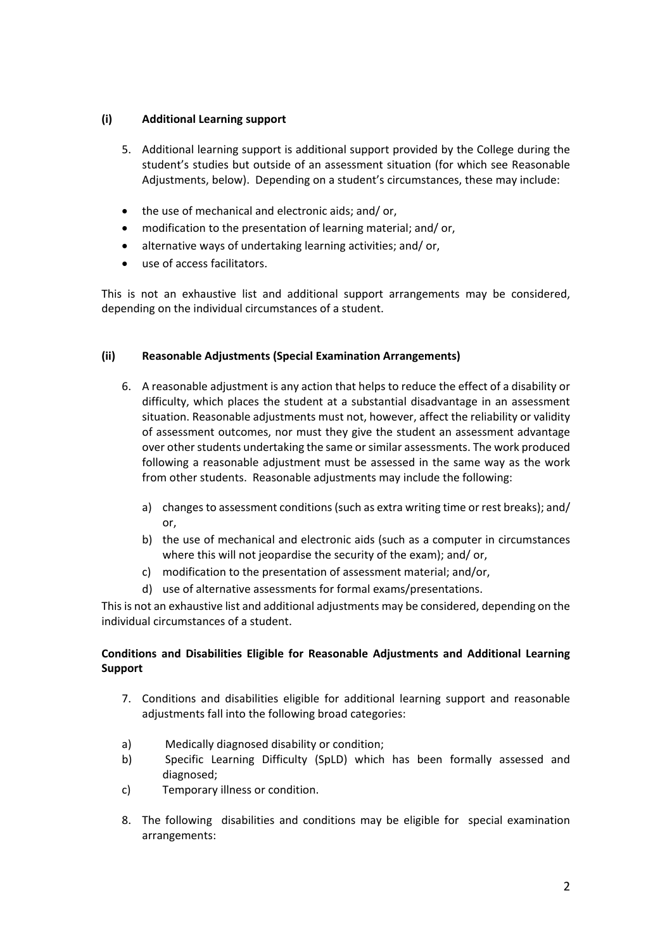# **(i) Additional Learning support**

- 5. Additional learning support is additional support provided by the College during the student's studies but outside of an assessment situation (for which see Reasonable Adjustments, below). Depending on a student's circumstances, these may include:
- the use of mechanical and electronic aids; and/ or,
- modification to the presentation of learning material; and/ or,
- alternative ways of undertaking learning activities; and/ or,
- use of access facilitators.

This is not an exhaustive list and additional support arrangements may be considered, depending on the individual circumstances of a student.

# **(ii) Reasonable Adjustments (Special Examination Arrangements)**

- 6. A reasonable adjustment is any action that helps to reduce the effect of a disability or difficulty, which places the student at a substantial disadvantage in an assessment situation. Reasonable adjustments must not, however, affect the reliability or validity of assessment outcomes, nor must they give the student an assessment advantage over other students undertaking the same or similar assessments. The work produced following a reasonable adjustment must be assessed in the same way as the work from other students. Reasonable adjustments may include the following:
	- a) changes to assessment conditions (such as extra writing time or rest breaks); and/ or,
	- b) the use of mechanical and electronic aids (such as a computer in circumstances where this will not jeopardise the security of the exam); and/ or,
	- c) modification to the presentation of assessment material; and/or,
	- d) use of alternative assessments for formal exams/presentations.

This is not an exhaustive list and additional adjustments may be considered, depending on the individual circumstances of a student.

# **Conditions and Disabilities Eligible for Reasonable Adjustments and Additional Learning Support**

- 7. Conditions and disabilities eligible for additional learning support and reasonable adjustments fall into the following broad categories:
- a) Medically diagnosed disability or condition;
- b) Specific Learning Difficulty (SpLD) which has been formally assessed and diagnosed;
- c) Temporary illness or condition.
- 8. The following disabilities and conditions may be eligible for special examination arrangements: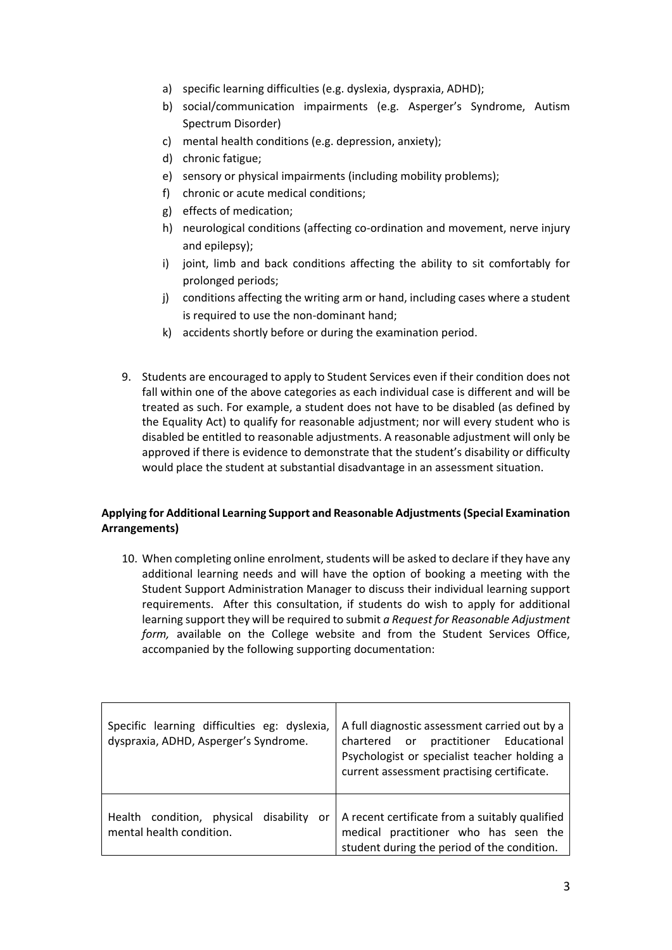- a) specific learning difficulties (e.g. dyslexia, dyspraxia, ADHD);
- b) social/communication impairments (e.g. Asperger's Syndrome, Autism Spectrum Disorder)
- c) mental health conditions (e.g. depression, anxiety);
- d) chronic fatigue;
- e) sensory or physical impairments (including mobility problems);
- f) chronic or acute medical conditions;
- g) effects of medication;
- h) neurological conditions (affecting co-ordination and movement, nerve injury and epilepsy);
- i) joint, limb and back conditions affecting the ability to sit comfortably for prolonged periods;
- j) conditions affecting the writing arm or hand, including cases where a student is required to use the non-dominant hand;
- k) accidents shortly before or during the examination period.
- 9. Students are encouraged to apply to Student Services even if their condition does not fall within one of the above categories as each individual case is different and will be treated as such. For example, a student does not have to be disabled (as defined by the Equality Act) to qualify for reasonable adjustment; nor will every student who is disabled be entitled to reasonable adjustments. A reasonable adjustment will only be approved if there is evidence to demonstrate that the student's disability or difficulty would place the student at substantial disadvantage in an assessment situation.

# **Applying for Additional Learning Support and Reasonable Adjustments (Special Examination Arrangements)**

10. When completing online enrolment, students will be asked to declare if they have any additional learning needs and will have the option of booking a meeting with the Student Support Administration Manager to discuss their individual learning support requirements. After this consultation, if students do wish to apply for additional learning support they will be required to submit *a Request for Reasonable Adjustment form,* available on the College website and from the Student Services Office, accompanied by the following supporting documentation:

| Specific learning difficulties eg: dyslexia,<br>dyspraxia, ADHD, Asperger's Syndrome. | A full diagnostic assessment carried out by a<br>chartered or practitioner Educational<br>Psychologist or specialist teacher holding a<br>current assessment practising certificate. |
|---------------------------------------------------------------------------------------|--------------------------------------------------------------------------------------------------------------------------------------------------------------------------------------|
| Health condition, physical<br>disability<br>or<br>mental health condition.            | A recent certificate from a suitably qualified<br>medical practitioner who has seen the<br>student during the period of the condition.                                               |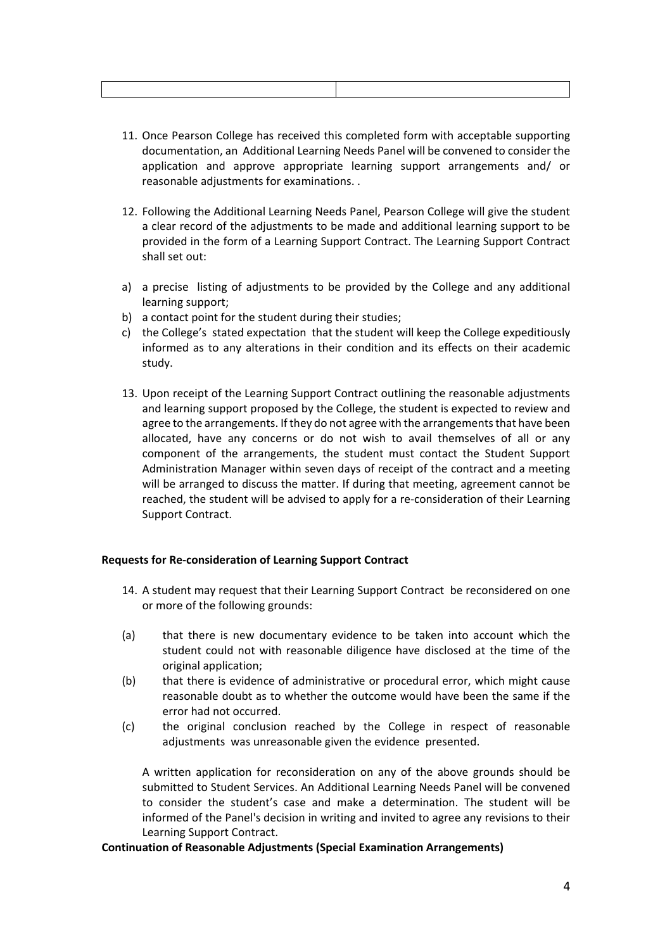- 11. Once Pearson College has received this completed form with acceptable supporting documentation, an Additional Learning Needs Panel will be convened to consider the application and approve appropriate learning support arrangements and/ or reasonable adjustments for examinations. .
- 12. Following the Additional Learning Needs Panel, Pearson College will give the student a clear record of the adjustments to be made and additional learning support to be provided in the form of a Learning Support Contract. The Learning Support Contract shall set out:
- a) a precise listing of adjustments to be provided by the College and any additional learning support;
- b) a contact point for the student during their studies;
- c) the College's stated expectation that the student will keep the College expeditiously informed as to any alterations in their condition and its effects on their academic study.
- 13. Upon receipt of the Learning Support Contract outlining the reasonable adjustments and learning support proposed by the College, the student is expected to review and agree to the arrangements. If they do not agree with the arrangements that have been allocated, have any concerns or do not wish to avail themselves of all or any component of the arrangements, the student must contact the Student Support Administration Manager within seven days of receipt of the contract and a meeting will be arranged to discuss the matter. If during that meeting, agreement cannot be reached, the student will be advised to apply for a re-consideration of their Learning Support Contract.

### **Requests for Re-consideration of Learning Support Contract**

- 14. A student may request that their Learning Support Contract be reconsidered on one or more of the following grounds:
- (a) that there is new documentary evidence to be taken into account which the student could not with reasonable diligence have disclosed at the time of the original application;
- (b) that there is evidence of administrative or procedural error, which might cause reasonable doubt as to whether the outcome would have been the same if the error had not occurred.
- (c) the original conclusion reached by the College in respect of reasonable adjustments was unreasonable given the evidence presented.

A written application for reconsideration on any of the above grounds should be submitted to Student Services. An Additional Learning Needs Panel will be convened to consider the student's case and make a determination. The student will be informed of the Panel's decision in writing and invited to agree any revisions to their Learning Support Contract.

### **Continuation of Reasonable Adjustments (Special Examination Arrangements)**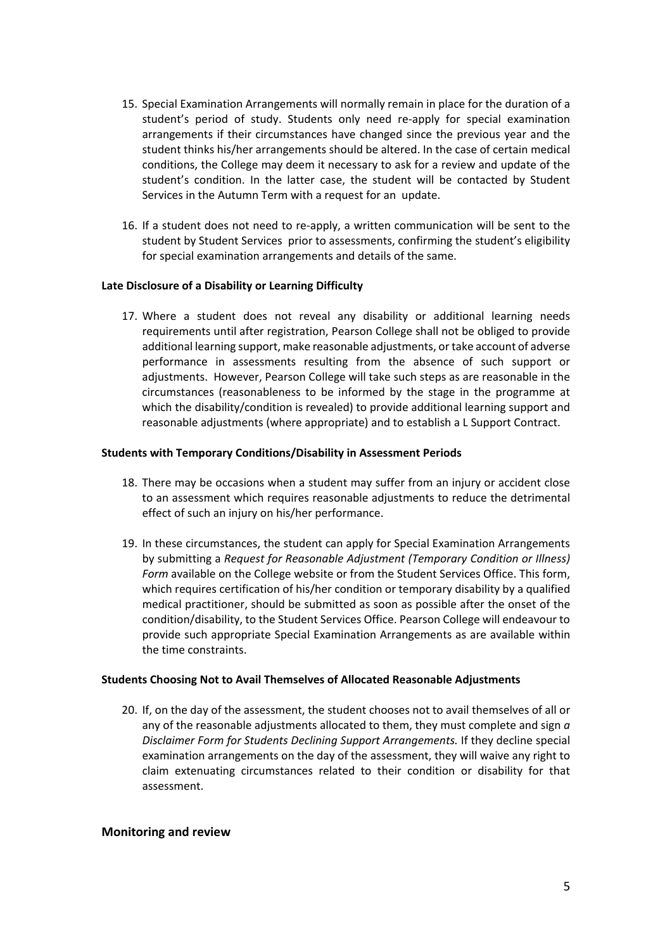- 15. Special Examination Arrangements will normally remain in place for the duration of a student's period of study. Students only need re-apply for special examination arrangements if their circumstances have changed since the previous year and the student thinks his/her arrangements should be altered. In the case of certain medical conditions, the College may deem it necessary to ask for a review and update of the student's condition. In the latter case, the student will be contacted by Student Services in the Autumn Term with a request for an update.
- 16. If a student does not need to re-apply, a written communication will be sent to the student by Student Services prior to assessments, confirming the student's eligibility for special examination arrangements and details of the same.

#### **Late Disclosure of a Disability or Learning Difficulty**

17. Where a student does not reveal any disability or additional learning needs requirements until after registration, Pearson College shall not be obliged to provide additional learning support, make reasonable adjustments, or take account of adverse performance in assessments resulting from the absence of such support or adjustments. However, Pearson College will take such steps as are reasonable in the circumstances (reasonableness to be informed by the stage in the programme at which the disability/condition is revealed) to provide additional learning support and reasonable adjustments (where appropriate) and to establish a L Support Contract.

#### **Students with Temporary Conditions/Disability in Assessment Periods**

- 18. There may be occasions when a student may suffer from an injury or accident close to an assessment which requires reasonable adjustments to reduce the detrimental effect of such an injury on his/her performance.
- 19. In these circumstances, the student can apply for Special Examination Arrangements by submitting a *Request for Reasonable Adjustment (Temporary Condition or Illness) Form* available on the College website or from the Student Services Office. This form, which requires certification of his/her condition or temporary disability by a qualified medical practitioner, should be submitted as soon as possible after the onset of the condition/disability, to the Student Services Office. Pearson College will endeavour to provide such appropriate Special Examination Arrangements as are available within the time constraints.

### **Students Choosing Not to Avail Themselves of Allocated Reasonable Adjustments**

20. If, on the day of the assessment, the student chooses not to avail themselves of all or any of the reasonable adjustments allocated to them, they must complete and sign *a Disclaimer Form for Students Declining Support Arrangements.* If they decline special examination arrangements on the day of the assessment, they will waive any right to claim extenuating circumstances related to their condition or disability for that assessment.

### **Monitoring and review**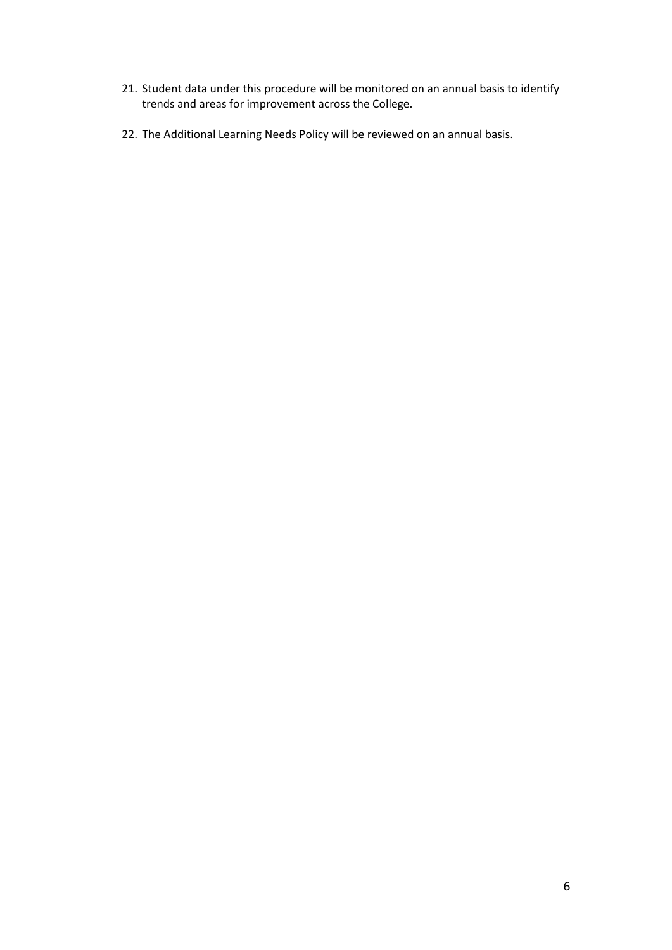- 21. Student data under this procedure will be monitored on an annual basis to identify trends and areas for improvement across the College.
- 22. The Additional Learning Needs Policy will be reviewed on an annual basis.